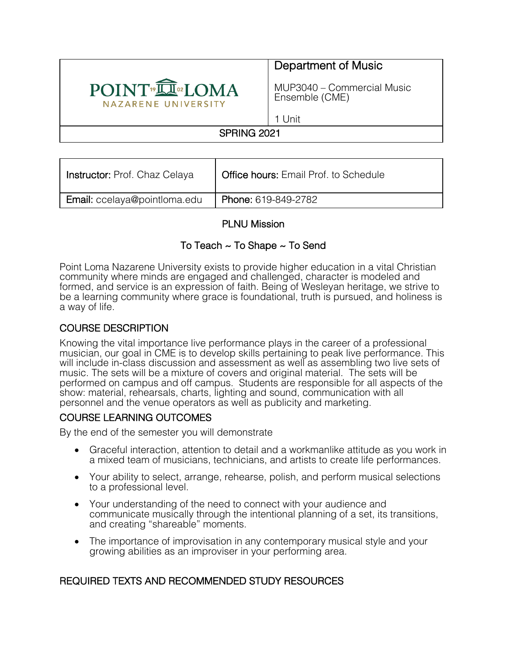

# Department of Music

MUP3040 – Commercial Music Ensemble (CME)

1 Unit

## SPRING 2021

| <b>Instructor: Prof. Chaz Celaya</b> | <b>Office hours: Email Prof. to Schedule</b> |
|--------------------------------------|----------------------------------------------|
| <b>Email:</b> ccelaya@pointloma.edu  | Phone: 619-849-2782                          |

## PLNU Mission

## To Teach ~ To Shape ~ To Send

Point Loma Nazarene University exists to provide higher education in a vital Christian community where minds are engaged and challenged, character is modeled and formed, and service is an expression of faith. Being of Wesleyan heritage, we strive to be a learning community where grace is foundational, truth is pursued, and holiness is a way of life.

## COURSE DESCRIPTION

Knowing the vital importance live performance plays in the career of a professional musician, our goal in CME is to develop skills pertaining to peak live performance. This will include in-class discussion and assessment as well as assembling two live sets of music. The sets will be a mixture of covers and original material. The sets will be performed on campus and off campus. Students are responsible for all aspects of the show: material, rehearsals, charts, lighting and sound, communication with all personnel and the venue operators as well as publicity and marketing.

### COURSE LEARNING OUTCOMES

By the end of the semester you will demonstrate

- Graceful interaction, attention to detail and a workmanlike attitude as you work in a mixed team of musicians, technicians, and artists to create life performances.
- Your ability to select, arrange, rehearse, polish, and perform musical selections to a professional level.
- Your understanding of the need to connect with your audience and communicate musically through the intentional planning of a set, its transitions, and creating "shareable" moments.
- The importance of improvisation in any contemporary musical style and your growing abilities as an improviser in your performing area.

### REQUIRED TEXTS AND RECOMMENDED STUDY RESOURCES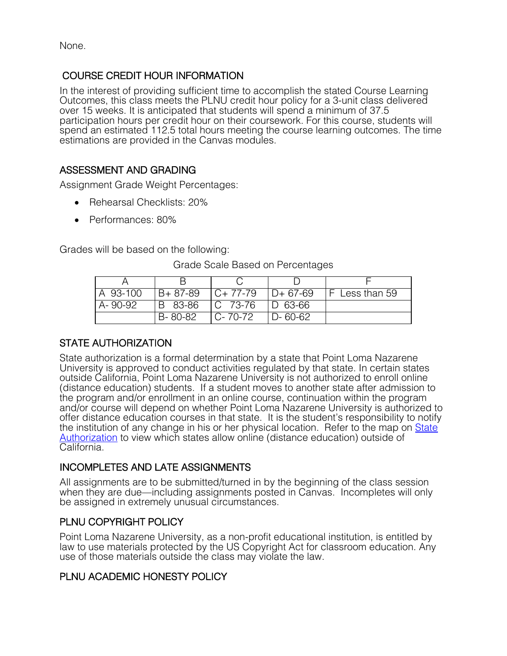None.

COURSE CREDIT HOUR INFORMATION<br>In the interest of providing sufficient time to accomplish the stated Course Learning Outcomes, this class meets the PLNU credit hour policy for a 3-unit class delivered over 15 weeks. It is anticipated that students will spend a minimum of 37.5 participation hours per credit hour on their coursework. For this course, students will spend an estimated 112.5 total hours meeting the course learning outcomes. The time estimations are provided in the Canvas modules.

## ASSESSMENT AND GRADING

Assignment Grade Weight Percentages:

- Rehearsal Checklists: 20%
- Performances: 80%

Grades will be based on the following:

| A 93-100 | $B + 87 - 89$ | $C+77-79$     | $ID + 67-69$  | <b>F</b> Less than 59 |
|----------|---------------|---------------|---------------|-----------------------|
| A-90-92  | IB 83-86      | $ C 73-76 $   | $ D 63-66 $   |                       |
|          | B-80-82       | $C - 70 - 72$ | $D - 60 - 62$ |                       |

#### Grade Scale Based on Percentages

### STATE AUTHORIZATION

State authorization is a formal determination by a state that Point Loma Nazarene University is approved to conduct activities regulated by that state. In certain states outside California, Point Loma Nazarene University is not authorized to enroll online (distance education) students. If a student moves to another state after admission to the program and/or enrollment in an online course, continuation within the program and/or course will depend on whether Point Loma Nazarene University is authorized to offer distance education courses in that state. It is the student's responsibility to notify the institution of any change in his or her physical location. Refer to the map on State Authorization to view which states allow online (distance education) outside of California.

### INCOMPLETES AND LATE ASSIGNMENTS

All assignments are to be submitted/turned in by the beginning of the class session when they are due—including assignments posted in Canvas. Incompletes will only be assigned in extremely unusual circumstances.

### PLNU COPYRIGHT POLICY

Point Loma Nazarene University, as a non-profit educational institution, is entitled by law to use materials protected by the US Copyright Act for classroom education. Any use of those materials outside the class may violate the law.

### PLNU ACADEMIC HONESTY POLICY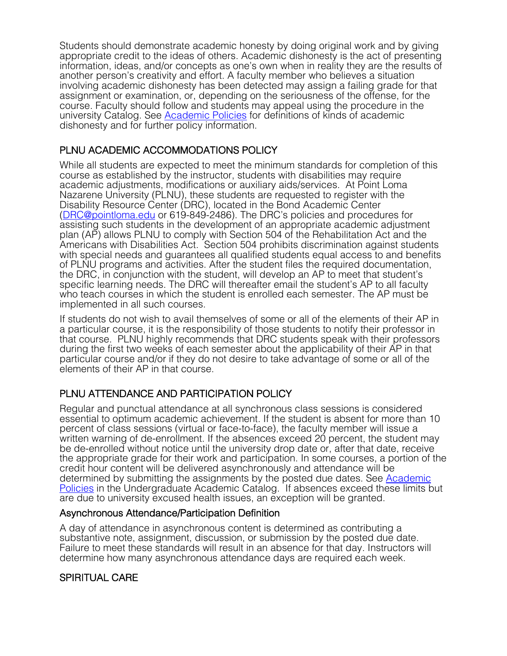Students should demonstrate academic honesty by doing original work and by giving appropriate credit to the ideas of others. Academic dishonesty is the act of presenting information, ideas, and/or concepts as one's own when in reality they are the results of another person's creativity and effort. A faculty member who believes a situation involving academic dishonesty has been detected may assign a failing grade for that assignment or examination, or, depending on the seriousness of the offense, for the course. Faculty should follow and students may appeal using the procedure in the university Catalog. See Academic Policies for definitions of kinds of academic dishonesty and for further policy information.

## PLNU ACADEMIC ACCOMMODATIONS POLICY

While all students are expected to meet the minimum standards for completion of this course as established by the instructor, students with disabilities may require academic adjustments, modifications or auxiliary aids/services. At Point Loma Nazarene University (PLNU), these students are requested to register with the Disability Resource Center (DRC), located in the Bond Academic Center (DRC@pointloma.edu or 619-849-2486). The DRC's policies and procedures for assisting such students in the development of an appropriate academic adjustment plan (AP) allows PLNU to comply with Section 504 of the Rehabilitation Act and the Americans with Disabilities Act. Section 504 prohibits discrimination against students with special needs and guarantees all qualified students equal access to and benefits of PLNU programs and activities. After the student files the required documentation, the DRC, in conjunction with the student, will develop an AP to meet that student's specific learning needs. The DRC will thereafter email the student's AP to all faculty who teach courses in which the student is enrolled each semester. The AP must be implemented in all such courses.

If students do not wish to avail themselves of some or all of the elements of their AP in a particular course, it is the responsibility of those students to notify their professor in that course. PLNU highly recommends that DRC students speak with their professors during the first two weeks of each semester about the applicability of their AP in that particular course and/or if they do not desire to take advantage of some or all of the elements of their AP in that course.

# PLNU ATTENDANCE AND PARTICIPATION POLICY

Regular and punctual attendance at all synchronous class sessions is considered essential to optimum academic achievement. If the student is absent for more than 10 percent of class sessions (virtual or face-to-face), the faculty member will issue a written warning of de-enrollment. If the absences exceed 20 percent, the student may be de-enrolled without notice until the university drop date or, after that date, receive the appropriate grade for their work and participation. In some courses, a portion of the credit hour content will be delivered asynchronously and attendance will be determined by submitting the assignments by the posted due dates. See Academic Policies in the Undergraduate Academic Catalog. If absences exceed these limits but are due to university excused health issues, an exception will be granted.

### Asynchronous Attendance/Participation Definition

A day of attendance in asynchronous content is determined as contributing a substantive note, assignment, discussion, or submission by the posted due date. Failure to meet these standards will result in an absence for that day. Instructors will determine how many asynchronous attendance days are required each week.

## SPIRITUAL CARE